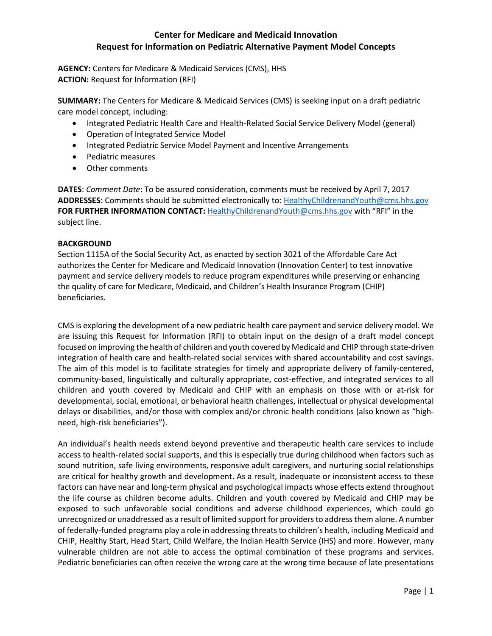**AGENCY:** Centers for Medicare & Medicaid Services (CMS), HHS **ACTION:** Request for Information (RFI)

**SUMMARY:** The Centers for Medicare & Medicaid Services (CMS) is seeking input on a draft pediatric care model concept, including:

- Integrated Pediatric Health Care and Health-Related Social Service Delivery Model (general)
- Operation of Integrated Service Model
- Integrated Pediatric Service Model Payment and Incentive Arrangements
- Pediatric measures
- Other comments

**DATES**: *Comment Date*: To be assured consideration, comments must be received by April 7, 2017 **ADDRESSES**: Comments should be submitted electronically to: [HealthyChildrenandYouth@cms.hhs.gov](mailto:HealthyChildrenandYouth@cms.hhs.gov) **FOR FURTHER INFORMATION CONTACT:** [HealthyChildrenandYouth@cms.hhs.gov](mailto:HealthyChildrenandYouth@cms.hhs.gov) with "RFI" in the subject line.

#### **BACKGROUND**

Section 1115A of the Social Security Act, as enacted by section 3021 of the Affordable Care Act authorizes the Center for Medicare and Medicaid Innovation (Innovation Center) to test innovative payment and service delivery models to reduce program expenditures while preserving or enhancing the quality of care for Medicare, Medicaid, and Children's Health Insurance Program (CHIP) beneficiaries.

CMS is exploring the development of a new pediatric health care payment and service delivery model. We are issuing this Request for Information (RFI) to obtain input on the design of a draft model concept focused on improving the health of children and youth covered by Medicaid and CHIP through state-driven integration of health care and health-related social services with shared accountability and cost savings. The aim of this model is to facilitate strategies for timely and appropriate delivery of family-centered, community-based, linguistically and culturally appropriate, cost-effective, and integrated services to all children and youth covered by Medicaid and CHIP with an emphasis on those with or at-risk for developmental, social, emotional, or behavioral health challenges, intellectual or physical developmental delays or disabilities, and/or those with complex and/or chronic health conditions (also known as "highneed, high-risk beneficiaries").

An individual's health needs extend beyond preventive and therapeutic health care services to include access to health-related social supports, and this is especially true during childhood when factors such as sound nutrition, safe living environments, responsive adult caregivers, and nurturing social relationships are critical for healthy growth and development. As a result, inadequate or inconsistent access to these factors can have near and long-term physical and psychological impacts whose effects extend throughout the life course as children become adults. Children and youth covered by Medicaid and CHIP may be exposed to such unfavorable social conditions and adverse childhood experiences, which could go unrecognized or unaddressed as a result of limited support for providersto address them alone. A number of federally-funded programs play a role in addressing threats to children's health, including Medicaid and CHIP, Healthy Start, Head Start, Child Welfare, the Indian Health Service (IHS) and more. However, many vulnerable children are not able to access the optimal combination of these programs and services. Pediatric beneficiaries can often receive the wrong care at the wrong time because of late presentations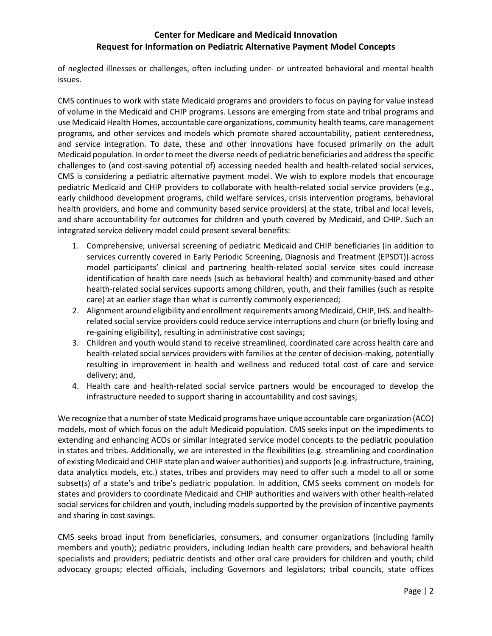of neglected illnesses or challenges, often including under- or untreated behavioral and mental health issues.

CMS continues to work with state Medicaid programs and providers to focus on paying for value instead of volume in the Medicaid and CHIP programs. Lessons are emerging from state and tribal programs and use Medicaid Health Homes, accountable care organizations, community health teams, care management programs, and other services and models which promote shared accountability, patient centeredness, and service integration. To date, these and other innovations have focused primarily on the adult Medicaid population. In order to meet the diverse needs of pediatric beneficiaries and address the specific challenges to (and cost-saving potential of) accessing needed health and health-related social services, CMS is considering a pediatric alternative payment model. We wish to explore models that encourage pediatric Medicaid and CHIP providers to collaborate with health-related social service providers (e.g., early childhood development programs, child welfare services, crisis intervention programs, behavioral health providers, and home and community based service providers) at the state, tribal and local levels, and share accountability for outcomes for children and youth covered by Medicaid, and CHIP. Such an integrated service delivery model could present several benefits:

- 1. Comprehensive, universal screening of pediatric Medicaid and CHIP beneficiaries (in addition to services currently covered in Early Periodic Screening, Diagnosis and Treatment (EPSDT)) across model participants' clinical and partnering health-related social service sites could increase identification of health care needs (such as behavioral health) and community-based and other health-related social services supports among children, youth, and their families (such as respite care) at an earlier stage than what is currently commonly experienced;
- 2. Alignment around eligibility and enrollment requirements among Medicaid, CHIP, IHS. and healthrelated social service providers could reduce service interruptions and churn (or briefly losing and re-gaining eligibility), resulting in administrative cost savings;
- 3. Children and youth would stand to receive streamlined, coordinated care across health care and health-related social services providers with families at the center of decision-making, potentially resulting in improvement in health and wellness and reduced total cost of care and service delivery; and,
- 4. Health care and health-related social service partners would be encouraged to develop the infrastructure needed to support sharing in accountability and cost savings;

We recognize that a number of state Medicaid programs have unique accountable care organization (ACO) models, most of which focus on the adult Medicaid population. CMS seeks input on the impediments to extending and enhancing ACOs or similar integrated service model concepts to the pediatric population in states and tribes. Additionally, we are interested in the flexibilities (e.g. streamlining and coordination of existing Medicaid and CHIP state plan and waiver authorities) and supports (e.g. infrastructure, training, data analytics models, etc.) states, tribes and providers may need to offer such a model to all or some subset(s) of a state's and tribe's pediatric population. In addition, CMS seeks comment on models for states and providers to coordinate Medicaid and CHIP authorities and waivers with other health-related social services for children and youth, including models supported by the provision of incentive payments and sharing in cost savings.

CMS seeks broad input from beneficiaries, consumers, and consumer organizations (including family members and youth); pediatric providers, including Indian health care providers, and behavioral health specialists and providers; pediatric dentists and other oral care providers for children and youth; child advocacy groups; elected officials, including Governors and legislators; tribal councils, state offices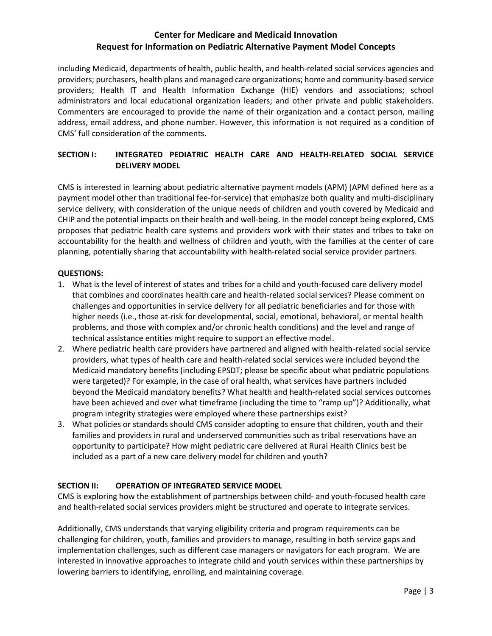including Medicaid, departments of health, public health, and health-related social services agencies and providers; purchasers, health plans and managed care organizations; home and community-based service providers; Health IT and Health Information Exchange (HIE) vendors and associations; school administrators and local educational organization leaders; and other private and public stakeholders. Commenters are encouraged to provide the name of their organization and a contact person, mailing address, email address, and phone number. However, this information is not required as a condition of CMS' full consideration of the comments.

### **SECTION I: INTEGRATED PEDIATRIC HEALTH CARE AND HEALTH-RELATED SOCIAL SERVICE DELIVERY MODEL**

CMS is interested in learning about pediatric alternative payment models (APM) (APM defined here as a payment model other than traditional fee-for-service) that emphasize both quality and multi-disciplinary service delivery, with consideration of the unique needs of children and youth covered by Medicaid and CHIP and the potential impacts on their health and well-being. In the model concept being explored, CMS proposes that pediatric health care systems and providers work with their states and tribes to take on accountability for the health and wellness of children and youth, with the families at the center of care planning, potentially sharing that accountability with health-related social service provider partners.

### **QUESTIONS:**

- 1. What is the level of interest of states and tribes for a child and youth-focused care delivery model that combines and coordinates health care and health-related social services? Please comment on challenges and opportunities in service delivery for all pediatric beneficiaries and for those with higher needs (i.e., those at-risk for developmental, social, emotional, behavioral, or mental health problems, and those with complex and/or chronic health conditions) and the level and range of technical assistance entities might require to support an effective model.
- 2. Where pediatric health care providers have partnered and aligned with health-related social service providers, what types of health care and health-related social services were included beyond the Medicaid mandatory benefits (including EPSDT; please be specific about what pediatric populations were targeted)? For example, in the case of oral health, what services have partners included beyond the Medicaid mandatory benefits? What health and health-related social services outcomes have been achieved and over what timeframe (including the time to "ramp up")? Additionally, what program integrity strategies were employed where these partnerships exist?
- 3. What policies or standards should CMS consider adopting to ensure that children, youth and their families and providers in rural and underserved communities such as tribal reservations have an opportunity to participate? How might pediatric care delivered at Rural Health Clinics best be included as a part of a new care delivery model for children and youth?

### **SECTION II: OPERATION OF INTEGRATED SERVICE MODEL**

CMS is exploring how the establishment of partnerships between child- and youth-focused health care and health-related social services providers might be structured and operate to integrate services.

Additionally, CMS understands that varying eligibility criteria and program requirements can be challenging for children, youth, families and providers to manage, resulting in both service gaps and implementation challenges, such as different case managers or navigators for each program. We are interested in innovative approaches to integrate child and youth services within these partnerships by lowering barriers to identifying, enrolling, and maintaining coverage.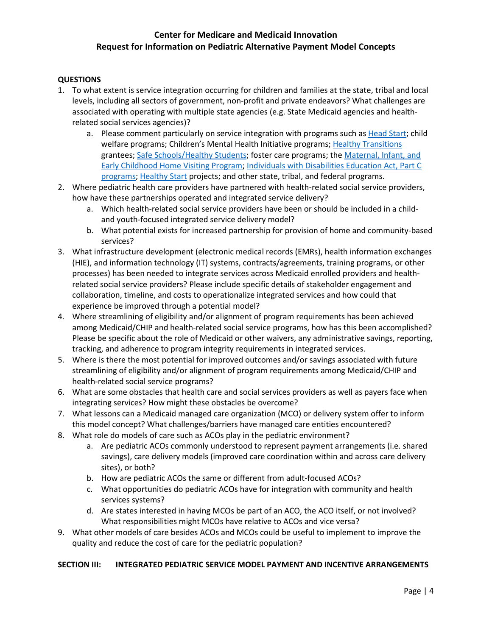#### **QUESTIONS**

- 1. To what extent is service integration occurring for children and families at the state, tribal and local levels, including all sectors of government, non-profit and private endeavors? What challenges are associated with operating with multiple state agencies (e.g. State Medicaid agencies and healthrelated social services agencies)?
	- a. Please comment particularly on service integration with programs such as [Head Start;](https://www.acf.hhs.gov/ohs) child welfare programs; Children's Mental Health Initiative programs; [Healthy Transitions](https://www.samhsa.gov/nitt-ta/healthy-transitions-grant-information) grantees[; Safe Schools/Healthy Students;](https://www.samhsa.gov/safe-schools-healthy-students) foster care programs; the Maternal, Infant, and [Early Childhood Home Visiting Program;](https://www.acf.hhs.gov/ecd/home-visiting) [Individuals with Disabilities Education Act, Part C](http://ectacenter.org/partc/partc.asp)  [programs;](http://ectacenter.org/partc/partc.asp) [Healthy Start](https://mchb.hrsa.gov/maternal-child-health-initiatives/healthy-start) projects; and other state, tribal, and federal programs.
- 2. Where pediatric health care providers have partnered with health-related social service providers, how have these partnerships operated and integrated service delivery?
	- a. Which health-related social service providers have been or should be included in a childand youth-focused integrated service delivery model?
	- b. What potential exists for increased partnership for provision of home and community-based services?
- 3. What infrastructure development (electronic medical records (EMRs), health information exchanges (HIE), and information technology (IT) systems, contracts/agreements, training programs, or other processes) has been needed to integrate services across Medicaid enrolled providers and healthrelated social service providers? Please include specific details of stakeholder engagement and collaboration, timeline, and costs to operationalize integrated services and how could that experience be improved through a potential model?
- 4. Where streamlining of eligibility and/or alignment of program requirements has been achieved among Medicaid/CHIP and health-related social service programs, how has this been accomplished? Please be specific about the role of Medicaid or other waivers, any administrative savings, reporting, tracking, and adherence to program integrity requirements in integrated services.
- 5. Where is there the most potential for improved outcomes and/or savings associated with future streamlining of eligibility and/or alignment of program requirements among Medicaid/CHIP and health-related social service programs?
- 6. What are some obstacles that health care and social services providers as well as payers face when integrating services? How might these obstacles be overcome?
- 7. What lessons can a Medicaid managed care organization (MCO) or delivery system offer to inform this model concept? What challenges/barriers have managed care entities encountered?
- 8. What role do models of care such as ACOs play in the pediatric environment?
	- a. Are pediatric ACOs commonly understood to represent payment arrangements (i.e. shared savings), care delivery models (improved care coordination within and across care delivery sites), or both?
	- b. How are pediatric ACOs the same or different from adult-focused ACOs?
	- c. What opportunities do pediatric ACOs have for integration with community and health services systems?
	- d. Are states interested in having MCOs be part of an ACO, the ACO itself, or not involved? What responsibilities might MCOs have relative to ACOs and vice versa?
- 9. What other models of care besides ACOs and MCOs could be useful to implement to improve the quality and reduce the cost of care for the pediatric population?

#### **SECTION III: INTEGRATED PEDIATRIC SERVICE MODEL PAYMENT AND INCENTIVE ARRANGEMENTS**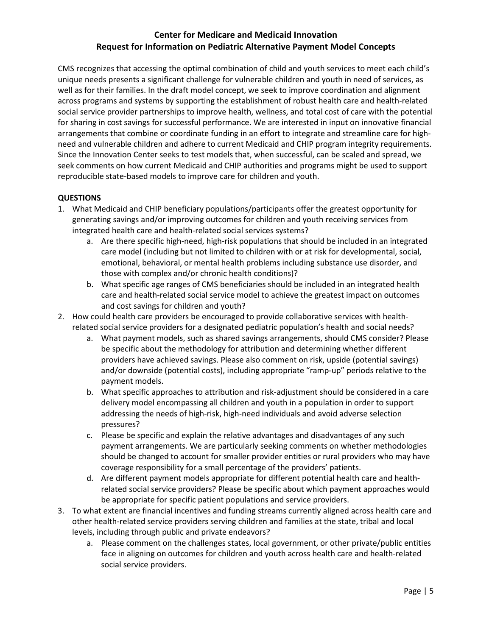CMS recognizes that accessing the optimal combination of child and youth services to meet each child's unique needs presents a significant challenge for vulnerable children and youth in need of services, as well as for their families. In the draft model concept, we seek to improve coordination and alignment across programs and systems by supporting the establishment of robust health care and health-related social service provider partnerships to improve health, wellness, and total cost of care with the potential for sharing in cost savings for successful performance. We are interested in input on innovative financial arrangements that combine or coordinate funding in an effort to integrate and streamline care for highneed and vulnerable children and adhere to current Medicaid and CHIP program integrity requirements. Since the Innovation Center seeks to test models that, when successful, can be scaled and spread, we seek comments on how current Medicaid and CHIP authorities and programs might be used to support reproducible state-based models to improve care for children and youth.

### **QUESTIONS**

- 1. What Medicaid and CHIP beneficiary populations/participants offer the greatest opportunity for generating savings and/or improving outcomes for children and youth receiving services from integrated health care and health-related social services systems?
	- a. Are there specific high-need, high-risk populations that should be included in an integrated care model (including but not limited to children with or at risk for developmental, social, emotional, behavioral, or mental health problems including substance use disorder, and those with complex and/or chronic health conditions)?
	- b. What specific age ranges of CMS beneficiaries should be included in an integrated health care and health-related social service model to achieve the greatest impact on outcomes and cost savings for children and youth?
- 2. How could health care providers be encouraged to provide collaborative services with healthrelated social service providers for a designated pediatric population's health and social needs?
	- a. What payment models, such as shared savings arrangements, should CMS consider? Please be specific about the methodology for attribution and determining whether different providers have achieved savings. Please also comment on risk, upside (potential savings) and/or downside (potential costs), including appropriate "ramp-up" periods relative to the payment models.
	- b. What specific approaches to attribution and risk-adjustment should be considered in a care delivery model encompassing all children and youth in a population in order to support addressing the needs of high-risk, high-need individuals and avoid adverse selection pressures?
	- c. Please be specific and explain the relative advantages and disadvantages of any such payment arrangements. We are particularly seeking comments on whether methodologies should be changed to account for smaller provider entities or rural providers who may have coverage responsibility for a small percentage of the providers' patients.
	- d. Are different payment models appropriate for different potential health care and healthrelated social service providers? Please be specific about which payment approaches would be appropriate for specific patient populations and service providers.
- 3. To what extent are financial incentives and funding streams currently aligned across health care and other health-related service providers serving children and families at the state, tribal and local levels, including through public and private endeavors?
	- a. Please comment on the challenges states, local government, or other private/public entities face in aligning on outcomes for children and youth across health care and health-related social service providers.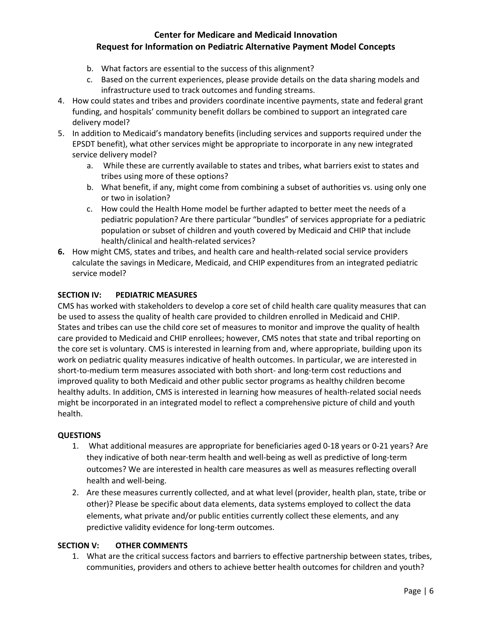- b. What factors are essential to the success of this alignment?
- c. Based on the current experiences, please provide details on the data sharing models and infrastructure used to track outcomes and funding streams.
- 4. How could states and tribes and providers coordinate incentive payments, state and federal grant funding, and hospitals' community benefit dollars be combined to support an integrated care delivery model?
- 5. In addition to Medicaid's mandatory benefits (including services and supports required under the EPSDT benefit), what other services might be appropriate to incorporate in any new integrated service delivery model?
	- a. While these are currently available to states and tribes, what barriers exist to states and tribes using more of these options?
	- b. What benefit, if any, might come from combining a subset of authorities vs. using only one or two in isolation?
	- c. How could the Health Home model be further adapted to better meet the needs of a pediatric population? Are there particular "bundles" of services appropriate for a pediatric population or subset of children and youth covered by Medicaid and CHIP that include health/clinical and health-related services?
- **6.** How might CMS, states and tribes, and health care and health-related social service providers calculate the savings in Medicare, Medicaid, and CHIP expenditures from an integrated pediatric service model?

### **SECTION IV: PEDIATRIC MEASURES**

CMS has worked with stakeholders to develop a core set of child health care quality measures that can be used to assess the quality of health care provided to children enrolled in Medicaid and CHIP. States and tribes can use the child core set of measures to monitor and improve the quality of health care provided to Medicaid and CHIP enrollees; however, CMS notes that state and tribal reporting on the core set is voluntary. CMS is interested in learning from and, where appropriate, building upon its work on pediatric quality measures indicative of health outcomes. In particular, we are interested in short-to-medium term measures associated with both short- and long-term cost reductions and improved quality to both Medicaid and other public sector programs as healthy children become healthy adults. In addition, CMS is interested in learning how measures of health-related social needs might be incorporated in an integrated model to reflect a comprehensive picture of child and youth health.

#### **QUESTIONS**

- 1. What additional measures are appropriate for beneficiaries aged 0-18 years or 0-21 years? Are they indicative of both near-term health and well-being as well as predictive of long-term outcomes? We are interested in health care measures as well as measures reflecting overall health and well-being.
- 2. Are these measures currently collected, and at what level (provider, health plan, state, tribe or other)? Please be specific about data elements, data systems employed to collect the data elements, what private and/or public entities currently collect these elements, and any predictive validity evidence for long-term outcomes.

#### **SECTION V: OTHER COMMENTS**

1. What are the critical success factors and barriers to effective partnership between states, tribes, communities, providers and others to achieve better health outcomes for children and youth?